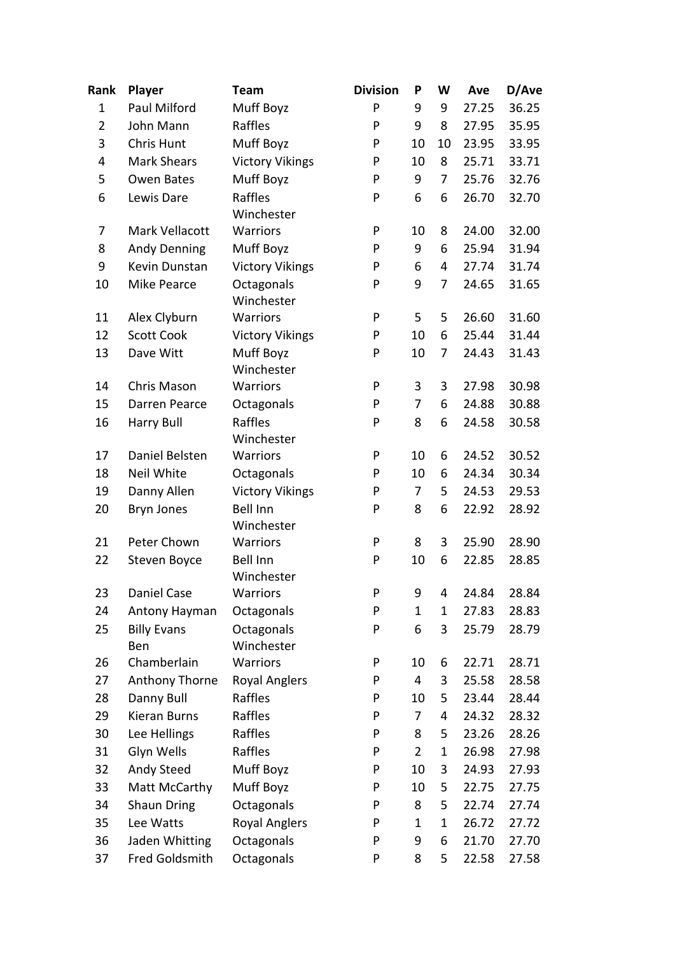| Rank           | Player                    | <b>Team</b>                   | <b>Division</b> | P  | W           | Ave   | D/Ave |
|----------------|---------------------------|-------------------------------|-----------------|----|-------------|-------|-------|
| $\mathbf{1}$   | Paul Milford              | Muff Boyz                     | P               | 9  | 9           | 27.25 | 36.25 |
| $\overline{2}$ | John Mann                 | Raffles                       | P               | 9  | 8           | 27.95 | 35.95 |
| 3              | <b>Chris Hunt</b>         | Muff Boyz                     | P               | 10 | 10          | 23.95 | 33.95 |
| 4              | <b>Mark Shears</b>        | <b>Victory Vikings</b>        | P               | 10 | 8           | 25.71 | 33.71 |
| 5              | Owen Bates                | Muff Boyz                     | P               | 9  | 7           | 25.76 | 32.76 |
| 6              | Lewis Dare                | Raffles<br>Winchester         | P               | 6  | 6           | 26.70 | 32.70 |
| 7              | Mark Vellacott            | Warriors                      | P               | 10 | 8           | 24.00 | 32.00 |
| 8              | <b>Andy Denning</b>       | Muff Boyz                     | P               | 9  | 6           | 25.94 | 31.94 |
| 9              | Kevin Dunstan             | <b>Victory Vikings</b>        | P               | 6  | 4           | 27.74 | 31.74 |
| 10             | Mike Pearce               | Octagonals<br>Winchester      | P               | 9  | 7           | 24.65 | 31.65 |
| 11             | Alex Clyburn              | Warriors                      | P               | 5  | 5           | 26.60 | 31.60 |
| 12             | <b>Scott Cook</b>         | <b>Victory Vikings</b>        | P               | 10 | 6           | 25.44 | 31.44 |
| 13             | Dave Witt                 | Muff Boyz<br>Winchester       | P               | 10 | 7           | 24.43 | 31.43 |
| 14             | Chris Mason               | <b>Warriors</b>               | P               | 3  | 3           | 27.98 | 30.98 |
| 15             | <b>Darren Pearce</b>      | Octagonals                    | P               | 7  | 6           | 24.88 | 30.88 |
| 16             | <b>Harry Bull</b>         | Raffles<br>Winchester         | P               | 8  | 6           | 24.58 | 30.58 |
| 17             | Daniel Belsten            | Warriors                      | P               | 10 | 6           | 24.52 | 30.52 |
| 18             | Neil White                | Octagonals                    | P               | 10 | 6           | 24.34 | 30.34 |
| 19             | Danny Allen               | <b>Victory Vikings</b>        | P               | 7  | 5           | 24.53 | 29.53 |
| 20             | Bryn Jones                | <b>Bell Inn</b><br>Winchester | P               | 8  | 6           | 22.92 | 28.92 |
| 21             | Peter Chown               | Warriors                      | P               | 8  | 3           | 25.90 | 28.90 |
| 22             | Steven Boyce              | <b>Bell Inn</b><br>Winchester | P               | 10 | 6           | 22.85 | 28.85 |
| 23             | Daniel Case               | Warriors                      | P               | 9  | 4           | 24.84 | 28.84 |
| 24             | Antony Hayman             | Octagonals                    | P               | 1  | 1           | 27.83 | 28.83 |
| 25             | <b>Billy Evans</b><br>Ben | Octagonals<br>Winchester      | P               | 6  | 3           | 25.79 | 28.79 |
| 26             | Chamberlain               | Warriors                      | P               | 10 | 6           | 22.71 | 28.71 |
| 27             | Anthony Thorne            | <b>Royal Anglers</b>          | P               | 4  | 3           | 25.58 | 28.58 |
| 28             | Danny Bull                | Raffles                       | P               | 10 | 5           | 23.44 | 28.44 |
| 29             | <b>Kieran Burns</b>       | Raffles                       | P               | 7  | 4           | 24.32 | 28.32 |
| 30             | Lee Hellings              | Raffles                       | P               | 8  | 5           | 23.26 | 28.26 |
| 31             | Glyn Wells                | Raffles                       | P               | 2  | 1           | 26.98 | 27.98 |
| 32             | Andy Steed                | Muff Boyz                     | P               | 10 | 3           | 24.93 | 27.93 |
| 33             | Matt McCarthy             | Muff Boyz                     | P               | 10 | 5           | 22.75 | 27.75 |
| 34             | Shaun Dring               | Octagonals                    | P               | 8  | 5           | 22.74 | 27.74 |
| 35             | Lee Watts                 | <b>Royal Anglers</b>          | P               | 1  | $\mathbf 1$ | 26.72 | 27.72 |
| 36             | Jaden Whitting            | Octagonals                    | P               | 9  | 6           | 21.70 | 27.70 |
| 37             | Fred Goldsmith            | Octagonals                    | P               | 8  | 5           | 22.58 | 27.58 |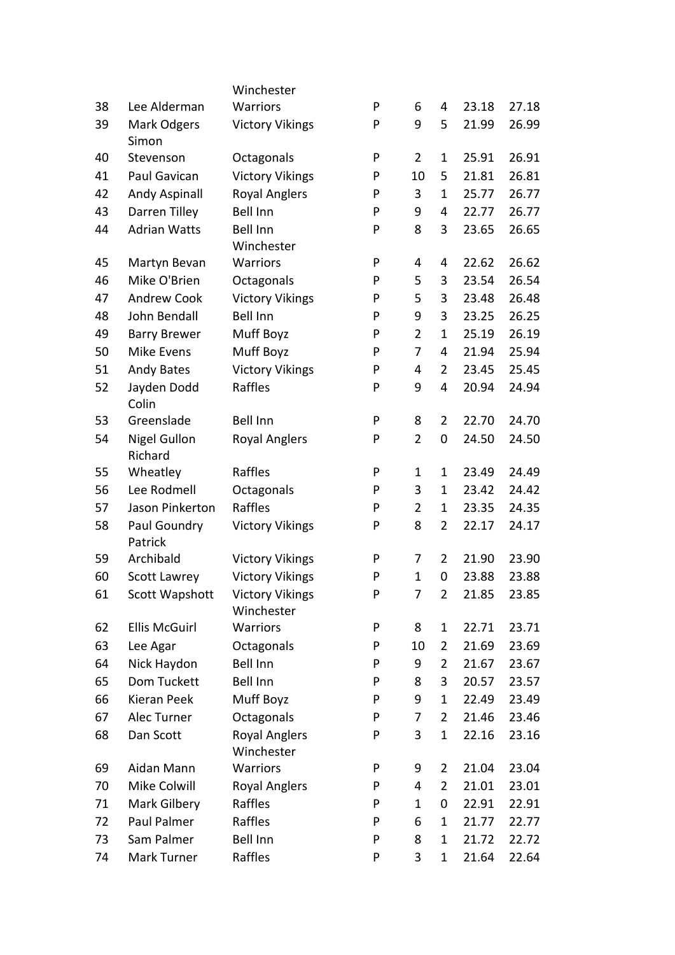|    |                                | Winchester                           |   |                |                |       |       |
|----|--------------------------------|--------------------------------------|---|----------------|----------------|-------|-------|
| 38 | Lee Alderman                   | Warriors                             | P | 6              | 4              | 23.18 | 27.18 |
| 39 | Mark Odgers<br>Simon           | <b>Victory Vikings</b>               | P | 9              | 5              | 21.99 | 26.99 |
| 40 | Stevenson                      | Octagonals                           | P | $\overline{2}$ | $\mathbf{1}$   | 25.91 | 26.91 |
| 41 | Paul Gavican                   | <b>Victory Vikings</b>               | P | 10             | 5              | 21.81 | 26.81 |
| 42 | Andy Aspinall                  | <b>Royal Anglers</b>                 | P | 3              | 1              | 25.77 | 26.77 |
| 43 | Darren Tilley                  | <b>Bell Inn</b>                      | P | 9              | 4              | 22.77 | 26.77 |
| 44 | <b>Adrian Watts</b>            | <b>Bell Inn</b>                      | P | 8              | 3              | 23.65 | 26.65 |
|    |                                | Winchester                           |   |                |                |       |       |
| 45 | Martyn Bevan                   | Warriors                             | P | 4              | 4              | 22.62 | 26.62 |
| 46 | Mike O'Brien                   | Octagonals                           | P | 5              | 3              | 23.54 | 26.54 |
| 47 | <b>Andrew Cook</b>             | <b>Victory Vikings</b>               | P | 5              | 3              | 23.48 | 26.48 |
| 48 | John Bendall                   | <b>Bell Inn</b>                      | P | 9              | 3              | 23.25 | 26.25 |
| 49 | <b>Barry Brewer</b>            | Muff Boyz                            | P | $\overline{2}$ | $\mathbf{1}$   | 25.19 | 26.19 |
| 50 | Mike Evens                     | Muff Boyz                            | P | 7              | 4              | 21.94 | 25.94 |
| 51 | Andy Bates                     | <b>Victory Vikings</b>               | P | 4              | $\overline{2}$ | 23.45 | 25.45 |
| 52 | Jayden Dodd<br>Colin           | Raffles                              | P | 9              | 4              | 20.94 | 24.94 |
| 53 | Greenslade                     | <b>Bell Inn</b>                      | P | 8              | $\overline{2}$ | 22.70 | 24.70 |
| 54 | <b>Nigel Gullon</b><br>Richard | <b>Royal Anglers</b>                 | P | $\overline{2}$ | $\pmb{0}$      | 24.50 | 24.50 |
| 55 | Wheatley                       | Raffles                              | P | $\mathbf 1$    | $\mathbf 1$    | 23.49 | 24.49 |
| 56 | Lee Rodmell                    | Octagonals                           | P | 3              | $\mathbf{1}$   | 23.42 | 24.42 |
| 57 | Jason Pinkerton                | Raffles                              | P | $\overline{2}$ | $\mathbf{1}$   | 23.35 | 24.35 |
| 58 | Paul Goundry<br>Patrick        | <b>Victory Vikings</b>               | P | 8              | $\overline{2}$ | 22.17 | 24.17 |
| 59 | Archibald                      | <b>Victory Vikings</b>               | P | 7              | $\overline{2}$ | 21.90 | 23.90 |
| 60 | Scott Lawrey                   | <b>Victory Vikings</b>               | P | $\mathbf{1}$   | 0              | 23.88 | 23.88 |
| 61 | Scott Wapshott                 | <b>Victory Vikings</b><br>Winchester | P | 7              | $\overline{2}$ | 21.85 | 23.85 |
| 62 | <b>Ellis McGuirl</b>           | Warriors                             | P | 8              | $\mathbf{1}$   | 22.71 | 23.71 |
| 63 | Lee Agar                       | Octagonals                           | P | 10             | $\overline{2}$ | 21.69 | 23.69 |
| 64 | Nick Haydon                    | Bell Inn                             | P | 9              | $\overline{2}$ | 21.67 | 23.67 |
| 65 | Dom Tuckett                    | Bell Inn                             | P | 8              | 3              | 20.57 | 23.57 |
| 66 | Kieran Peek                    | Muff Boyz                            | P | 9              | $\mathbf{1}$   | 22.49 | 23.49 |
| 67 | Alec Turner                    | Octagonals                           | P | 7              | $\overline{2}$ | 21.46 | 23.46 |
| 68 | Dan Scott                      | <b>Royal Anglers</b><br>Winchester   | P | 3              | $\mathbf{1}$   | 22.16 | 23.16 |
| 69 | Aidan Mann                     | Warriors                             | P | 9              | $\overline{2}$ | 21.04 | 23.04 |
| 70 | Mike Colwill                   | <b>Royal Anglers</b>                 | P | 4              | $\overline{2}$ | 21.01 | 23.01 |
| 71 | Mark Gilbery                   | Raffles                              | P | $\mathbf 1$    | 0              | 22.91 | 22.91 |
| 72 | Paul Palmer                    | Raffles                              | P | 6              | $\mathbf{1}$   | 21.77 | 22.77 |
| 73 | Sam Palmer                     | Bell Inn                             | P | 8              | $\mathbf{1}$   | 21.72 | 22.72 |
| 74 | Mark Turner                    | Raffles                              | P | 3              | $\mathbf{1}$   | 21.64 | 22.64 |